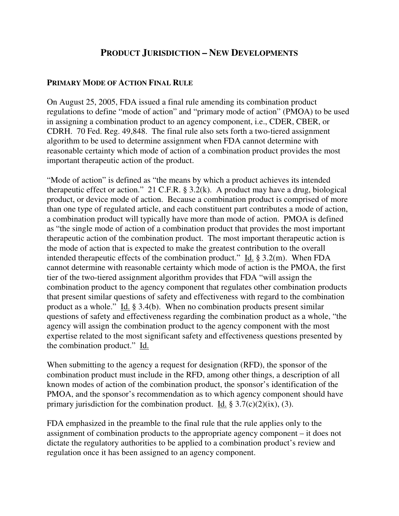## **PRODUCT JURISDICTION – NEW DEVELOPMENTS**

## **PRIMARY MODE OF ACTION FINAL RULE**

On August 25, 2005, FDA issued a final rule amending its combination product regulations to define "mode of action" and "primary mode of action" (PMOA) to be used in assigning a combination product to an agency component, i.e., CDER, CBER, or CDRH. 70 Fed. Reg. 49,848. The final rule also sets forth a two-tiered assignment algorithm to be used to determine assignment when FDA cannot determine with reasonable certainty which mode of action of a combination product provides the most important therapeutic action of the product.

"Mode of action" is defined as "the means by which a product achieves its intended therapeutic effect or action." 21 C.F.R.  $\S 3.2(k)$ . A product may have a drug, biological product, or device mode of action. Because a combination product is comprised of more than one type of regulated article, and each constituent part contributes a mode of action, a combination product will typically have more than mode of action. PMOA is defined as "the single mode of action of a combination product that provides the most important therapeutic action of the combination product. The most important therapeutic action is the mode of action that is expected to make the greatest contribution to the overall intended therapeutic effects of the combination product." Id.  $\S$  3.2(m). When FDA cannot determine with reasonable certainty which mode of action is the PMOA, the first tier of the two-tiered assignment algorithm provides that FDA "will assign the combination product to the agency component that regulates other combination products that present similar questions of safety and effectiveness with regard to the combination product as a whole." Id. § 3.4(b). When no combination products present similar questions of safety and effectiveness regarding the combination product as a whole, "the agency will assign the combination product to the agency component with the most expertise related to the most significant safety and effectiveness questions presented by the combination product." Id.

When submitting to the agency a request for designation (RFD), the sponsor of the combination product must include in the RFD, among other things, a description of all known modes of action of the combination product, the sponsor's identification of the PMOA, and the sponsor's recommendation as to which agency component should have primary jurisdiction for the combination product. Id.  $\S 3.7(c)(2)(ix)$ , (3).

FDA emphasized in the preamble to the final rule that the rule applies only to the assignment of combination products to the appropriate agency component – it does not dictate the regulatory authorities to be applied to a combination product's review and regulation once it has been assigned to an agency component.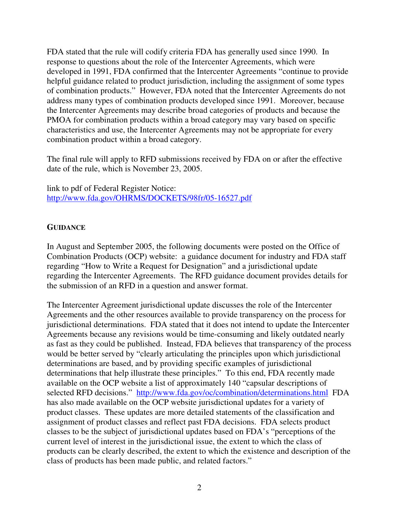FDA stated that the rule will codify criteria FDA has generally used since 1990. In response to questions about the role of the Intercenter Agreements, which were developed in 1991, FDA confirmed that the Intercenter Agreements "continue to provide helpful guidance related to product jurisdiction, including the assignment of some types of combination products." However, FDA noted that the Intercenter Agreements do not address many types of combination products developed since 1991. Moreover, because the Intercenter Agreements may describe broad categories of products and because the PMOA for combination products within a broad category may vary based on specific characteristics and use, the Intercenter Agreements may not be appropriate for every combination product within a broad category.

The final rule will apply to RFD submissions received by FDA on or after the effective date of the rule, which is November 23, 2005.

link to pdf of Federal Register Notice: http://www.fda.gov/OHRMS/DOCKETS/98fr/05-16527.pdf

## **GUIDANCE**

In August and September 2005, the following documents were posted on the Office of Combination Products (OCP) website: a guidance document for industry and FDA staff regarding "How to Write a Request for Designation" and a jurisdictional update regarding the Intercenter Agreements. The RFD guidance document provides details for the submission of an RFD in a question and answer format.

The Intercenter Agreement jurisdictional update discusses the role of the Intercenter Agreements and the other resources available to provide transparency on the process for jurisdictional determinations. FDA stated that it does not intend to update the Intercenter Agreements because any revisions would be time-consuming and likely outdated nearly as fast as they could be published. Instead, FDA believes that transparency of the process would be better served by "clearly articulating the principles upon which jurisdictional determinations are based, and by providing specific examples of jurisdictional determinations that help illustrate these principles." To this end, FDA recently made available on the OCP website a list of approximately 140 "capsular descriptions of selected RFD decisions." http://www.fda.gov/oc/combination/determinations.html FDA has also made available on the OCP website jurisdictional updates for a variety of product classes. These updates are more detailed statements of the classification and assignment of product classes and reflect past FDA decisions. FDA selects product classes to be the subject of jurisdictional updates based on FDA's "perceptions of the current level of interest in the jurisdictional issue, the extent to which the class of products can be clearly described, the extent to which the existence and description of the class of products has been made public, and related factors."